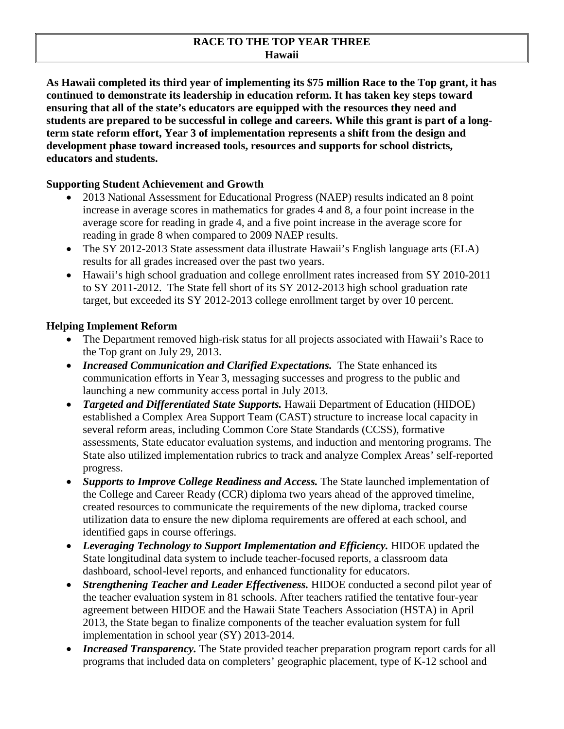#### **RACE TO THE TOP YEAR THREE Hawaii**

**As Hawaii completed its third year of implementing its \$75 million Race to the Top grant, it has continued to demonstrate its leadership in education reform. It has taken key steps toward ensuring that all of the state's educators are equipped with the resources they need and students are prepared to be successful in college and careers. While this grant is part of a longterm state reform effort, Year 3 of implementation represents a shift from the design and development phase toward increased tools, resources and supports for school districts, educators and students.**

#### **Supporting Student Achievement and Growth**

- 2013 National Assessment for Educational Progress (NAEP) results indicated an 8 point increase in average scores in mathematics for grades 4 and 8, a four point increase in the average score for reading in grade 4, and a five point increase in the average score for reading in grade 8 when compared to 2009 NAEP results.
- The SY 2012-2013 State assessment data illustrate Hawaii's English language arts (ELA) results for all grades increased over the past two years.
- Hawaii's high school graduation and college enrollment rates increased from SY 2010-2011 to SY 2011-2012. The State fell short of its SY 2012-2013 high school graduation rate target, but exceeded its SY 2012-2013 college enrollment target by over 10 percent.

### **Helping Implement Reform**

- The Department removed high-risk status for all projects associated with Hawaii's Race to the Top grant on July 29, 2013.
- *Increased Communication and Clarified Expectations.* The State enhanced its communication efforts in Year 3, messaging successes and progress to the public and launching a new community access portal in July 2013.
- *Targeted and Differentiated State Supports*. Hawaii Department of Education (HIDOE) established a Complex Area Support Team (CAST) structure to increase local capacity in several reform areas, including Common Core State Standards (CCSS), formative assessments, State educator evaluation systems, and induction and mentoring programs. The State also utilized implementation rubrics to track and analyze Complex Areas' self-reported progress.
- *Supports to Improve College Readiness and Access.* The State launched implementation of the College and Career Ready (CCR) diploma two years ahead of the approved timeline, created resources to communicate the requirements of the new diploma, tracked course utilization data to ensure the new diploma requirements are offered at each school, and identified gaps in course offerings.
- *Leveraging Technology to Support Implementation and Efficiency*. HIDOE updated the State longitudinal data system to include teacher-focused reports, a classroom data dashboard, school-level reports, and enhanced functionality for educators.
- *Strengthening Teacher and Leader Effectiveness.* HIDOE conducted a second pilot year of the teacher evaluation system in 81 schools. After teachers ratified the tentative four-year agreement between HIDOE and the Hawaii State Teachers Association (HSTA) in April 2013, the State began to finalize components of the teacher evaluation system for full implementation in school year (SY) 2013-2014.
- *Increased Transparency.* The State provided teacher preparation program report cards for all programs that included data on completers' geographic placement, type of K-12 school and